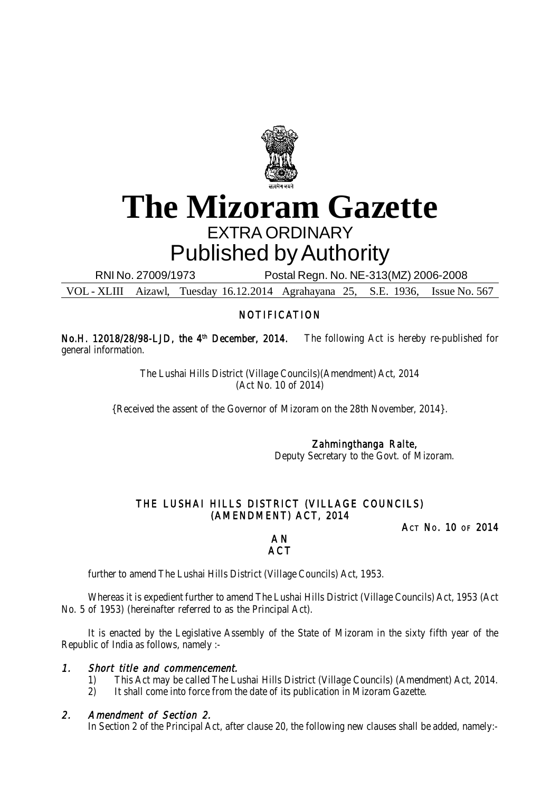

# **The Mizoram Gazette** EXTRA ORDINARY Published by Authority

RNI No. 27009/1973 Postal Regn. No. NE-313(MZ) 2006-2008

VOL - XLIII Aizawl, Tuesday 16.12.2014 Agrahayana 25, S.E. 1936, Issue No. 567

# NOTIFICATION

No.H. 12018/28/98-LJD, the 4<sup>th</sup> December, 2014. The following Act is hereby re-published for general information.

> The Lushai Hills District (Village Councils)(Amendment) Act, 2014 (Act No. 10 of 2014)

{Received the assent of the Governor of Mizoram on the 28th November, 2014}.

Zahmingthanga Ralte,

Deputy Secretary to the Govt. of Mizoram.

# THE LUSHAI HILLS DISTRICT (VILLAGE COUNCILS) (AMENDMENT) ACT, 2014

ACT NO. 10 OF 2014

## A N **ACT**

further to amend The Lushai Hills District (Village Councils) Act, 1953.

Whereas it is expedient further to amend The Lushai Hills District (Village Councils) Act, 1953 (Act No. 5 of 1953) (hereinafter referred to as the Principal Act).

It is enacted by the Legislative Assembly of the State of Mizoram in the sixty fifth year of the Republic of India as follows, namely :-

# 1. Short title and commencement.

- 1) This Act may be called The Lushai Hills District (Village Councils) (Amendment) Act, 2014.
- 2) It shall come into force from the date of its publication in Mizoram Gazette.

# 2. Amendment of Section 2.

In Section 2 of the Principal Act, after clause 20, the following new clauses shall be added, namely:-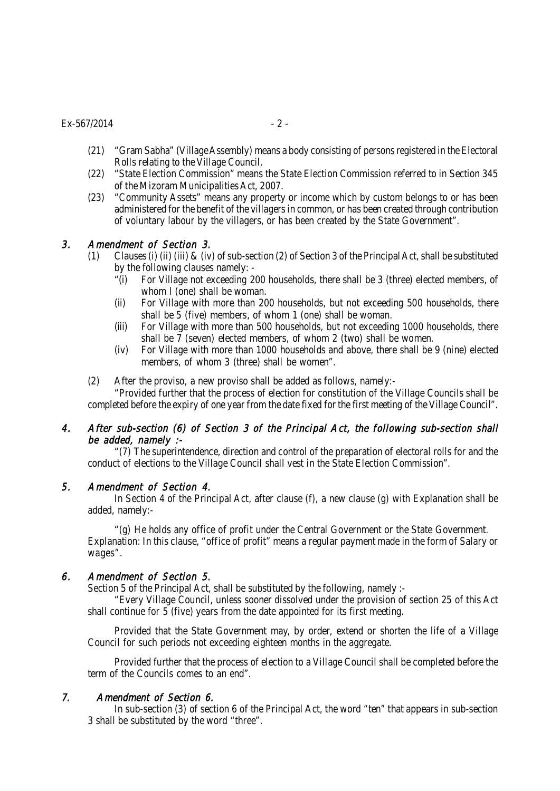## $Ex-567/2014$  - 2 -

- (21) "Gram Sabha" (Village Assembly) means a body consisting of persons registered in the Electoral Rolls relating to the Village Council.
- (22) "State Election Commission" means the State Election Commission referred to in Section 345 of the Mizoram Municipalities Act, 2007.
- (23) "Community Assets" means any property or income which by custom belongs to or has been administered for the benefit of the villagers in common, or has been created through contribution of voluntary labour by the villagers, or has been created by the State Government".

# 3. Amendment of Section 3.

- (1) Clauses (i) (ii) (iii) & (iv) of sub-section (2) of Section 3 of the Principal Act, shall be substituted by the following clauses namely: -
	- "(i) For Village not exceeding 200 households, there shall be 3 (three) elected members, of whom I (one) shall be woman.
	- (ii) For Village with more than 200 households, but not exceeding 500 households, there shall be 5 (five) members, of whom 1 (one) shall be woman.
	- (iii) For Village with more than 500 households, but not exceeding 1000 households, there shall be  $\overline{7}$  (seven) elected members, of whom 2 (two) shall be women.
	- (iv) For Village with more than 1000 households and above, there shall be 9 (nine) elected members, of whom 3 (three) shall be women".
- (2) After the proviso, a new proviso shall be added as follows, namely:-

"Provided further that the process of election for constitution of the Village Councils shall be completed before the expiry of one year from the date fixed for the first meeting of the Village Council".

## 4. After sub-section (6) of Section 3 of the Principal Act, the following sub-section shall be added, namely :-

"(7) The superintendence, direction and control of the preparation of electoral rolls for and the conduct of elections to the Village Council shall vest in the State Election Commission".

#### 5. Amendment of Section 4.

In Section 4 of the Principal Act, after clause (f), a new clause (g) with Explanation shall be added, namely:-

"(g) He holds any office of profit under the Central Government or the State Government. Explanation: In this clause, "office of profit" means a regular payment made in the form of Salary or wages".

# 6. Amendment of Section 5.

Section 5 of the Principal Act, shall be substituted by the following, namely :-

"Every Village Council, unless sooner dissolved under the provision of section 25 of this Act shall continue for 5 (five) years from the date appointed for its first meeting.

Provided that the State Government may, by order, extend or shorten the life of a Village Council for such periods not exceeding eighteen months in the aggregate.

Provided further that the process of election to a Village Council shall be completed before the term of the Councils comes to an end".

#### 7. Amendment of Section 6.

In sub-section (3) of section 6 of the Principal Act, the word "ten" that appears in sub-section 3 shall be substituted by the word "three".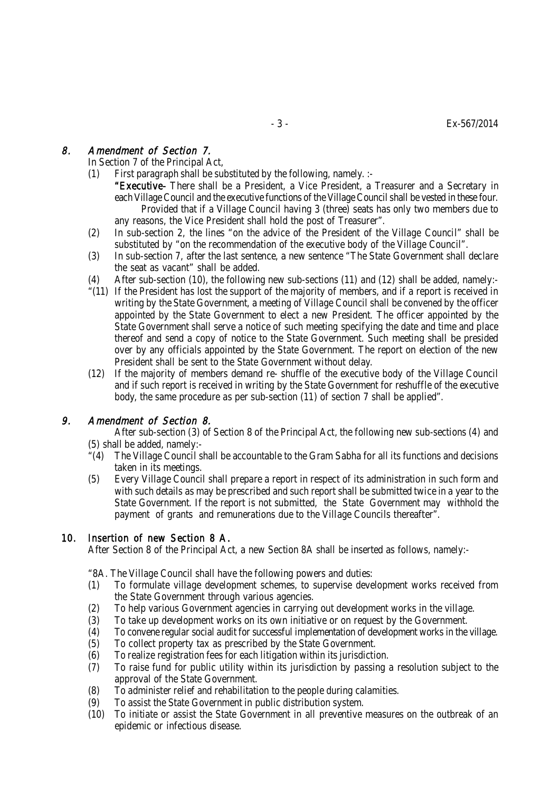# 8. Amendment of Section 7.

In Section 7 of the Principal Act,

- (1) First paragraph shall be substituted by the following, namely. :-
	- "Executive- There shall be a President, a Vice President, a Treasurer and a Secretary in each Village Council and the executive functions of the Village Council shall be vested in these four. Provided that if a Village Council having 3 (three) seats has only two members due to any reasons, the Vice President shall hold the post of Treasurer".
- (2) In sub-section 2, the lines "on the advice of the President of the Village Council" shall be substituted by "on the recommendation of the executive body of the Village Council".
- (3) In sub-section 7, after the last sentence, a new sentence "The State Government shall declare the seat as vacant" shall be added.
- (4) After sub-section (10), the following new sub-sections (11) and (12) shall be added, namely:-
- "(11) If the President has lost the support of the majority of members, and if a report is received in writing by the State Government, a meeting of Village Council shall be convened by the officer appointed by the State Government to elect a new President. The officer appointed by the State Government shall serve a notice of such meeting specifying the date and time and place thereof and send a copy of notice to the State Government. Such meeting shall be presided over by any officials appointed by the State Government. The report on election of the new President shall be sent to the State Government without delay.
- (12) If the majority of members demand re- shuffle of the executive body of the Village Council and if such report is received in writing by the State Government for reshuffle of the executive body, the same procedure as per sub-section (11) of section 7 shall be applied".

# 9. Amendment of Section 8.

After sub-section (3) of Section 8 of the Principal Act, the following new sub-sections (4) and (5) shall be added, namely:-

- "(4) The Village Council shall be accountable to the Gram Sabha for all its functions and decisions taken in its meetings.
- (5) Every Village Council shall prepare a report in respect of its administration in such form and with such details as may be prescribed and such report shall be submitted twice in a year to the State Government. If the report is not submitted, the State Government may withhold the payment of grants and remunerations due to the Village Councils thereafter".

# 10. Insertion of new Section 8 A.

After Section 8 of the Principal Act, a new Section 8A shall be inserted as follows, namely:-

"8A. The Village Council shall have the following powers and duties:

- (1) To formulate village development schemes, to supervise development works received from the State Government through various agencies.
- 
- (2) To help various Government agencies in carrying out development works in the village.<br>(3) To take up development works on its own initiative or on request by the Government. (3) To take up development works on its own initiative or on request by the Government.<br>(4) To convene regular social audit for successful implementation of development works in the
- To convene regular social audit for successful implementation of development works in the village.
- (5) To collect property tax as prescribed by the State Government.
- (6) To realize registration fees for each litigation within its jurisdiction.
- (7) To raise fund for public utility within its jurisdiction by passing a resolution subject to the approval of the State Government.
- (8) To administer relief and rehabilitation to the people during calamities.
- (9) To assist the State Government in public distribution system.
- (10) To initiate or assist the State Government in all preventive measures on the outbreak of an epidemic or infectious disease.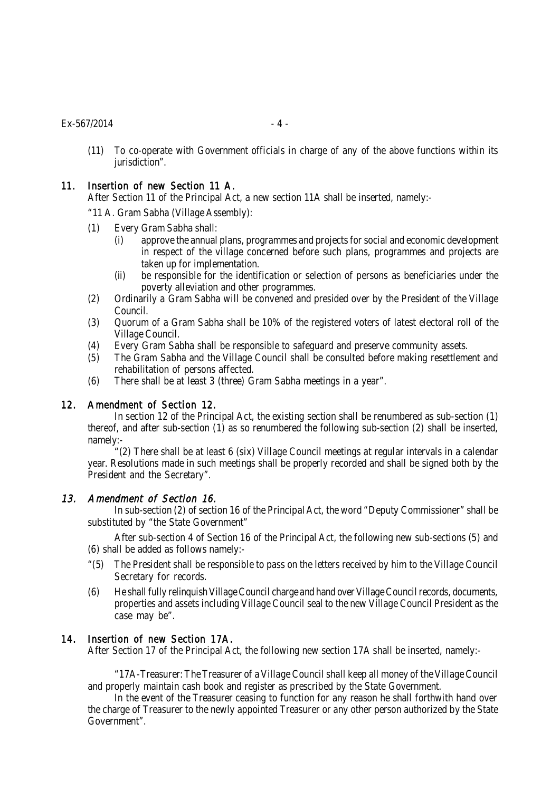#### $Ex - 567/2014$  - 4 -

(11) To co-operate with Government officials in charge of any of the above functions within its jurisdiction".

## 11. Insertion of new Section 11 A.

After Section 11 of the Principal Act, a new section 11A shall be inserted, namely:-

- "11 A. Gram Sabha (Village Assembly):
- (1) Every Gram Sabha shall:
	- (i) approve the annual plans, programmes and projects for social and economic development in respect of the village concerned before such plans, programmes and projects are taken up for implementation.
	- (ii) be responsible for the identification or selection of persons as beneficiaries under the poverty alleviation and other programmes.
- (2) Ordinarily a Gram Sabha will be convened and presided over by the President of the Village Council.
- (3) Quorum of a Gram Sabha shall be 10% of the registered voters of latest electoral roll of the Village Council.
- (4) Every Gram Sabha shall be responsible to safeguard and preserve community assets.
- (5) The Gram Sabha and the Village Council shall be consulted before making resettlement and rehabilitation of persons affected.
- (6) There shall be at least 3 (three) Gram Sabha meetings in a year".

#### 12. Amendment of Section 12.

In section 12 of the Principal Act, the existing section shall be renumbered as sub-section (1) thereof, and after sub-section (1) as so renumbered the following sub-section (2) shall be inserted, namely:-

"(2) There shall be at least 6 (six) Village Council meetings at regular intervals in a calendar year. Resolutions made in such meetings shall be properly recorded and shall be signed both by the President and the Secretary".

#### 13. Amendment of Section 16.

In sub-section (2) of section 16 of the Principal Act, the word "Deputy Commissioner" shall be substituted by "the State Government"

After sub-section 4 of Section 16 of the Principal Act, the following new sub-sections (5) and (6) shall be added as follows namely:-

- "(5) The President shall be responsible to pass on the letters received by him to the Village Council Secretary for records.
- (6) He shall fully relinquish Village Council charge and hand over Village Council records, documents, properties and assets including Village Council seal to the new Village Council President as the case may be".

## 14. Insertion of new Section 17A.

After Section 17 of the Principal Act, the following new section 17A shall be inserted, namely:-

"17A-Treasurer: The Treasurer of a Village Council shall keep all money of the Village Council and properly maintain cash book and register as prescribed by the State Government.

In the event of the Treasurer ceasing to function for any reason he shall forthwith hand over the charge of Treasurer to the newly appointed Treasurer or any other person authorized by the State Government".